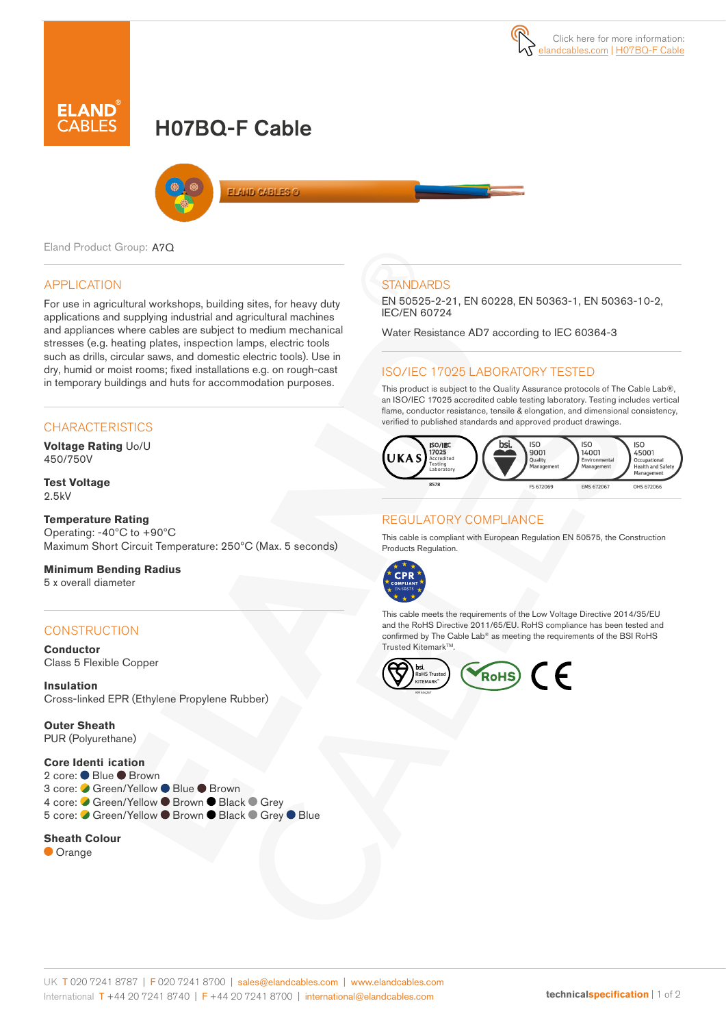# H07BQ-F Cable



**ELAND CABLES @** 

Eland Product Group: A7Q

### APPLICATION

For use in agricultural workshops, building sites, for heavy duty applications and supplying industrial and agricultural machines and appliances where cables are subject to medium mechanical stresses (e.g. heating plates, inspection lamps, electric tools such as drills, circular saws, and domestic electric tools). Use in dry, humid or moist rooms; fixed installations e.g. on rough-cast in temporary buildings and huts for accommodation purposes.

### **CHARACTERISTICS**

**Voltage Rating** Uo/U 450/750V

#### **Test Voltage** 2.5kV

### **Temperature Rating**

Operating: -40ºC to +90ºC Maximum Short Circuit Temperature: 250ºC (Max. 5 seconds)

### **Minimum Bending Radius**

5 x overall diameter

### **CONSTRUCTION**

**Conductor** Class 5 Flexible Copper

**Insulation** Cross-linked EPR (Ethylene Propylene Rubber)

**Outer Sheath** PUR (Polyurethane)

#### **Core Identi ication**

| 2 core: ● Blue ● Brown                               |  |
|------------------------------------------------------|--|
| 3 core: ○ Green/Yellow ● Blue ● Brown                |  |
| 4 core: Green/Yellow ● Brown ● Black ● Grey          |  |
| 5 core: ● Green/Yellow ● Brown ● Black ● Grey ● Blue |  |
|                                                      |  |

### **Sheath Colour**

**Orange** 

### **STANDARDS**

EN 50525-2-21, EN 60228, EN 50363-1, EN 50363-10-2, IEC/EN 60724

Water Resistance AD7 according to IEC 60364-3

### ISO/IEC 17025 LABORATORY TESTED

This product is subject to the Quality Assurance protocols of The Cable Lab®, an ISO/IEC 17025 accredited cable testing laboratory. Testing includes vertical flame, conductor resistance, tensile & elongation, and dimensional consistency, verified to published standards and approved product drawings.



### REGULATORY COMPLIANCE

This cable is compliant with European Regulation EN 50575, the Construction Products Regulation.



This cable meets the requirements of the Low Voltage Directive 2014/35/EU and the RoHS Directive 2011/65/EU. RoHS compliance has been tested and confirmed by The Cable Lab® as meeting the requirements of the BSI RoHS Trusted Kitemark™.